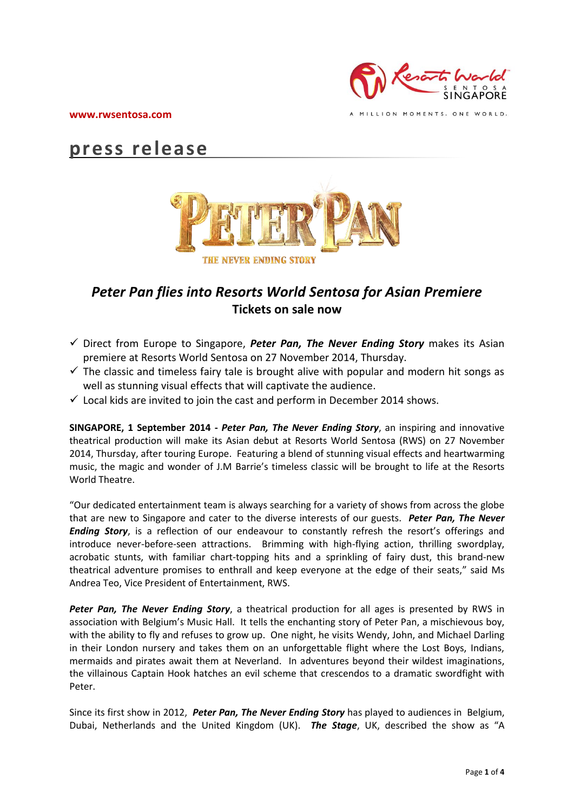

MILLION MOMENTS. ONE WORLD.

**www.rwsentosa.com**

# **press release**



# *Peter Pan flies into Resorts World Sentosa for Asian Premiere* **Tickets on sale now**

- Direct from Europe to Singapore, *Peter Pan, The Never Ending Story* makes its Asian premiere at Resorts World Sentosa on 27 November 2014, Thursday.
- $\checkmark$  The classic and timeless fairy tale is brought alive with popular and modern hit songs as well as stunning visual effects that will captivate the audience.
- $\checkmark$  Local kids are invited to join the cast and perform in December 2014 shows.

**SINGAPORE, 1 September 2014 -** *Peter Pan, The Never Ending Story*, an inspiring and innovative theatrical production will make its Asian debut at Resorts World Sentosa (RWS) on 27 November 2014, Thursday, after touring Europe. Featuring a blend of stunning visual effects and heartwarming music, the magic and wonder of J.M Barrie's timeless classic will be brought to life at the Resorts World Theatre.

"Our dedicated entertainment team is always searching for a variety of shows from across the globe that are new to Singapore and cater to the diverse interests of our guests. *Peter Pan, The Never Ending Story*, is a reflection of our endeavour to constantly refresh the resort's offerings and introduce never-before-seen attractions. Brimming with high-flying action, thrilling swordplay, acrobatic stunts, with familiar chart-topping hits and a sprinkling of fairy dust, this brand-new theatrical adventure promises to enthrall and keep everyone at the edge of their seats," said Ms Andrea Teo, Vice President of Entertainment, RWS.

*Peter Pan, The Never Ending Story*, a theatrical production for all ages is presented by RWS in association with Belgium's Music Hall. It tells the enchanting story of Peter Pan, a mischievous boy, with the ability to fly and refuses to grow up. One night, he visits Wendy, John, and Michael Darling in their London nursery and takes them on an unforgettable flight where the Lost Boys, Indians, mermaids and pirates await them at Neverland. In adventures beyond their wildest imaginations, the villainous Captain Hook hatches an evil scheme that crescendos to a dramatic swordfight with Peter.

Since its first show in 2012, *Peter Pan, The Never Ending Story* has played to audiences in Belgium, Dubai, Netherlands and the United Kingdom (UK). *The Stage*, UK, described the show as "A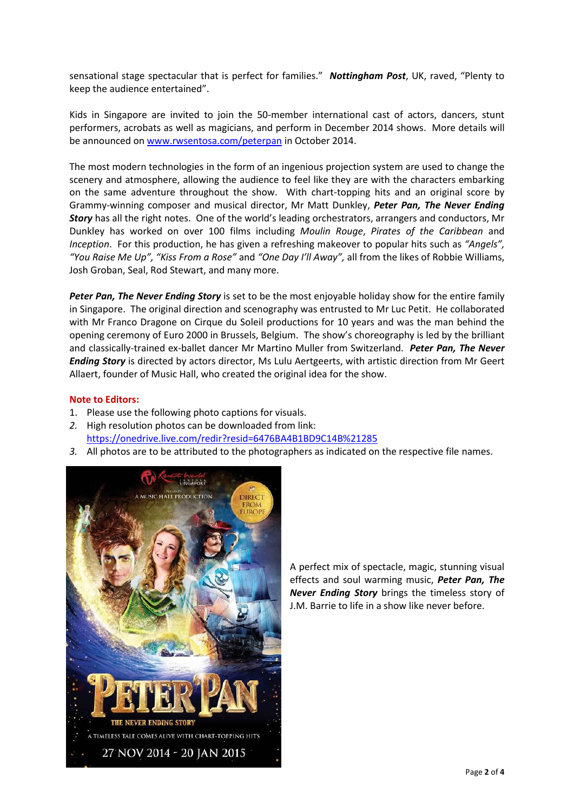sensational stage spectacular that is perfect for families." *Nottingham Post*, UK, raved, "Plenty to keep the audience entertained".

Kids in Singapore are invited to join the 50-member international cast of actors, dancers, stunt performers, acrobats as well as magicians, and perform in December 2014 shows. More details will be announced o[n www.rwsentosa.com/peterpan](http://www.rwsentosa.com/peterpan) in October 2014.

The most modern technologies in the form of an ingenious projection system are used to change the scenery and atmosphere, allowing the audience to feel like they are with the characters embarking on the same adventure throughout the show. With chart-topping hits and an original score by Grammy-winning composer and musical director, Mr Matt Dunkley, *Peter Pan, The Never Ending Story* has all the right notes. One of the world's leading orchestrators, arrangers and conductors, Mr Dunkley has worked on over 100 films including *Moulin Rouge*, *Pirates of the Caribbean* and *Inception*. For this production, he has given a refreshing makeover to popular hits such as *"Angels", "You Raise Me Up", "Kiss From a Rose"* and *"One Day I'll Away",* all from the likes of Robbie Williams, Josh Groban, Seal, Rod Stewart, and many more.

*Peter Pan, The Never Ending Story* is set to be the most enjoyable holiday show for the entire family in Singapore. The original direction and scenography was entrusted to Mr Luc Petit. He collaborated with Mr Franco Dragone on Cirque du Soleil productions for 10 years and was the man behind the opening ceremony of Euro 2000 in Brussels, Belgium. The show's choreography is led by the brilliant and classically-trained ex-ballet dancer Mr Martino Muller from Switzerland. *Peter Pan, The Never Ending Story* is directed by actors director, Ms Lulu Aertgeerts, with artistic direction from Mr Geert Allaert, founder of Music Hall, who created the original idea for the show.

## **Note to Editors:**

- 1. Please use the following photo captions for visuals.
- *2.* High resolution photos can be downloaded from link: <https://onedrive.live.com/redir?resid=6476BA4B1BD9C14B%21285>
- *3.* All photos are to be attributed to the photographers as indicated on the respective file names.



A perfect mix of spectacle, magic, stunning visual effects and soul warming music, *Peter Pan, The Never Ending Story* brings the timeless story of J.M. Barrie to life in a show like never before.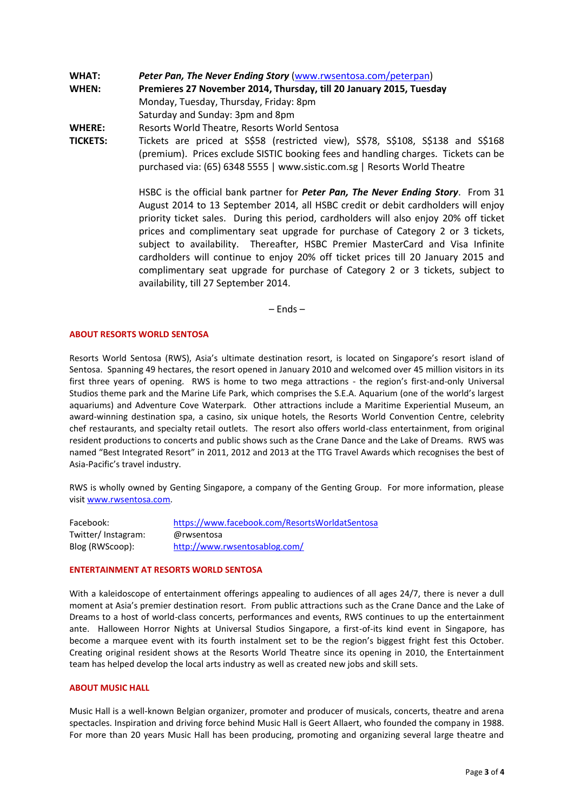**WHAT:** *Peter Pan, The Never Ending Story* [\(www.rwsentosa.com/peterpan\)](http://www.rwsentosa.com/peterpan) **WHEN: Premieres 27 November 2014, Thursday, till 20 January 2015, Tuesday** Monday, Tuesday, Thursday, Friday: 8pm Saturday and Sunday: 3pm and 8pm **WHERE:** Resorts World Theatre, Resorts World Sentosa

**TICKETS:** Tickets are priced at S\$58 (restricted view), S\$78, S\$108, S\$138 and S\$168 (premium). Prices exclude SISTIC booking fees and handling charges. Tickets can be purchased via: (65) 6348 5555 | www.sistic.com.sg | Resorts World Theatre

> HSBC is the official bank partner for *Peter Pan, The Never Ending Story*. From 31 August 2014 to 13 September 2014, all HSBC credit or debit cardholders will enjoy priority ticket sales. During this period, cardholders will also enjoy 20% off ticket prices and complimentary seat upgrade for purchase of Category 2 or 3 tickets, subject to availability. Thereafter, HSBC Premier MasterCard and Visa Infinite cardholders will continue to enjoy 20% off ticket prices till 20 January 2015 and complimentary seat upgrade for purchase of Category 2 or 3 tickets, subject to availability, till 27 September 2014.

> > – Ends –

#### **ABOUT RESORTS WORLD SENTOSA**

Resorts World Sentosa (RWS), Asia's ultimate destination resort, is located on Singapore's resort island of Sentosa. Spanning 49 hectares, the resort opened in January 2010 and welcomed over 45 million visitors in its first three years of opening. RWS is home to two mega attractions - the region's first-and-only Universal Studios theme park and the Marine Life Park, which comprises the S.E.A. Aquarium (one of the world's largest aquariums) and Adventure Cove Waterpark. Other attractions include a Maritime Experiential Museum, an award-winning destination spa, a casino, six unique hotels, the Resorts World Convention Centre, celebrity chef restaurants, and specialty retail outlets. The resort also offers world-class entertainment, from original resident productions to concerts and public shows such as the Crane Dance and the Lake of Dreams. RWS was named "Best Integrated Resort" in 2011, 2012 and 2013 at the TTG Travel Awards which recognises the best of Asia-Pacific's travel industry.

RWS is wholly owned by Genting Singapore, a company of the Genting Group. For more information, please visi[t www.rwsentosa.com.](http://www.rwsentosa.com/)

| Facebook:          | https://www.facebook.com/ResortsWorldatSentosa |
|--------------------|------------------------------------------------|
| Twitter/Instagram: | @rwsentosa                                     |
| Blog (RWScoop):    | http://www.rwsentosablog.com/                  |

#### **ENTERTAINMENT AT RESORTS WORLD SENTOSA**

With a kaleidoscope of entertainment offerings appealing to audiences of all ages 24/7, there is never a dull moment at Asia's premier destination resort. From public attractions such as the Crane Dance and the Lake of Dreams to a host of world-class concerts, performances and events, RWS continues to up the entertainment ante. Halloween Horror Nights at Universal Studios Singapore, a first-of-its kind event in Singapore, has become a marquee event with its fourth instalment set to be the region's biggest fright fest this October. Creating original resident shows at the Resorts World Theatre since its opening in 2010, the Entertainment team has helped develop the local arts industry as well as created new jobs and skill sets.

#### **ABOUT MUSIC HALL**

Music Hall is a well-known Belgian organizer, promoter and producer of musicals, concerts, theatre and arena spectacles. Inspiration and driving force behind Music Hall is Geert Allaert, who founded the company in 1988. For more than 20 years Music Hall has been producing, promoting and organizing several large theatre and